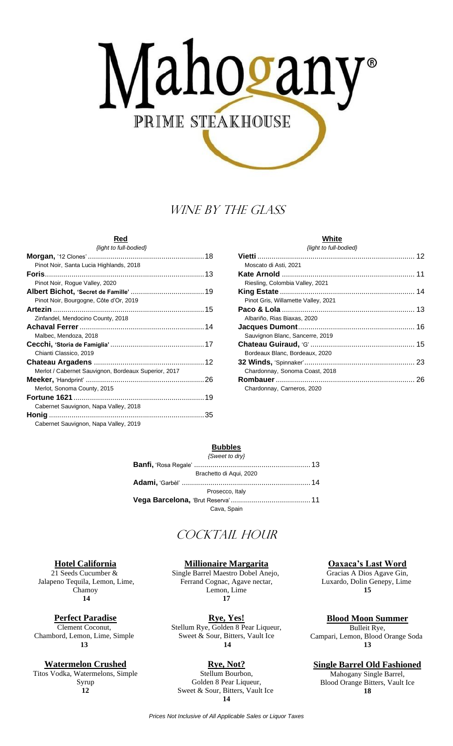# Mahogany PRIME STEAKHOUSE

# WINE BY THE GLASS

#### **Red** *{light to full-bodied}*

| $\mu$ g $\mu$ to $\mu$ and $\sigma$ and $\sigma$     |  |
|------------------------------------------------------|--|
|                                                      |  |
| Pinot Noir, Santa Lucia Highlands, 2018              |  |
|                                                      |  |
| Pinot Noir, Rogue Valley, 2020                       |  |
|                                                      |  |
| Pinot Noir, Bourgogne, Côte d'Or, 2019               |  |
|                                                      |  |
| Zinfandel, Mendocino County, 2018                    |  |
|                                                      |  |
| Malbec, Mendoza, 2018                                |  |
|                                                      |  |
| Chianti Classico, 2019                               |  |
|                                                      |  |
| Merlot / Cabernet Sauvignon, Bordeaux Superior, 2017 |  |
|                                                      |  |
| Merlot, Sonoma County, 2015                          |  |
|                                                      |  |
| Cabernet Sauvignon, Napa Valley, 2018                |  |
|                                                      |  |
| Cabernet Sauvignon, Napa Valley, 2019                |  |

#### **White** *{light to full-bodied}*

# **Bubbles**

| {Sweet to dry}          |  |
|-------------------------|--|
|                         |  |
| Brachetto di Agui, 2020 |  |
|                         |  |
| Prosecco, Italy         |  |
|                         |  |
| Cava, Spain             |  |

# COCKTAIL HOUR

#### **Hotel California**

21 Seeds Cucumber & Jalapeno Tequila, Lemon, Lime, Chamoy **14**

#### **Perfect Paradise**

Clement Coconut, Chambord, Lemon, Lime, Simple **13**

# **Watermelon Crushed**

Titos Vodka, Watermelons, Simple Syrup **12**

**Millionaire Margarita**

Single Barrel Maestro Dobel Anejo, Ferrand Cognac, Agave nectar, Lemon, Lime **17**

**Rye, Yes!** Stellum Rye, Golden 8 Pear Liqueur, Sweet & Sour, Bitters, Vault Ice **14**

### **Rye, Not?**

Stellum Bourbon, Golden 8 Pear Liqueur, Sweet & Sour, Bitters, Vault Ice **14**

#### **Oaxaca's Last Word**

Gracias A Dios Agave Gin, Luxardo, Dolin Genepy, Lime **15**

**Blood Moon Summer**

Bulleit Rye, Campari, Lemon, Blood Orange Soda **13**

#### **Single Barrel Old Fashioned**

Mahogany Single Barrel, Blood Orange Bitters, Vault Ice **18**

*Prices Not Inclusive of All Applicable Sales or Liquor Taxes*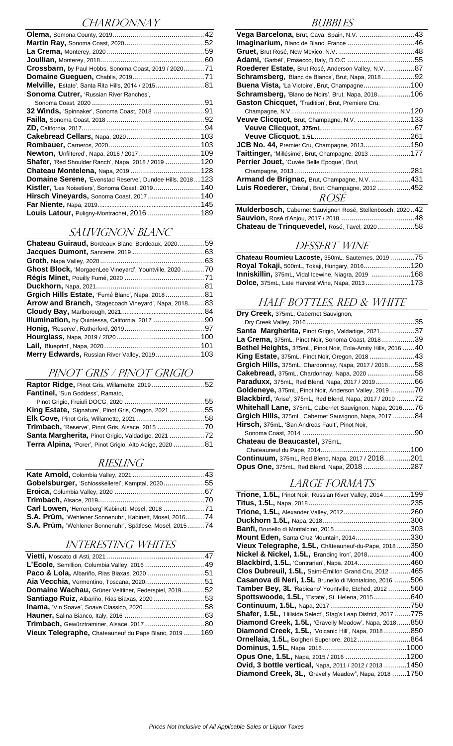# CHARDONNAY

| Crossbarn, by Paul Hobbs, Sonoma Coast, 2019 / 202071            |  |
|------------------------------------------------------------------|--|
|                                                                  |  |
| Melville, 'Estate', Santa Rita Hills, 2014 / 2015 81             |  |
| Sonoma Cutrer, 'Russian River Ranches',                          |  |
|                                                                  |  |
| 32 Winds, 'Spinnaker', Sonoma Coast, 2018  91                    |  |
|                                                                  |  |
|                                                                  |  |
|                                                                  |  |
|                                                                  |  |
|                                                                  |  |
|                                                                  |  |
| <b>Shafer,</b> 'Red Shoulder Ranch', Napa, 2018 / 2019  120      |  |
| Chateau Montelena, Napa, 2019  128                               |  |
| <b>Domaine Serene, 'Evenstad Reserve', Dundee Hills, 2018123</b> |  |
| <b>Kistler,</b> 'Les Noisetiers', Sonoma Coast, 2019140          |  |
| Hirsch Vineyards, Sonoma Coast, 2017 140                         |  |
|                                                                  |  |
| Louis Latour, Puligny-Montrachet, 2016 189                       |  |

#### SAUVIGNON BLANC

| <b>Chateau Guiraud, Bordeaux Blanc, Bordeaux, 202059</b>        |
|-----------------------------------------------------------------|
|                                                                 |
|                                                                 |
| <b>Ghost Block, '</b> MorgaenLee Vineyard', Yountville, 2020 70 |
|                                                                 |
|                                                                 |
| Grgich Hills Estate, 'Fumé Blanc', Napa, 201881                 |
| <b>Arrow and Branch, 'Stagecoach Vineyard', Napa, 201883</b>    |
|                                                                 |
| Illumination, by Quintessa, California, 2017  90                |
|                                                                 |
|                                                                 |
|                                                                 |
| <b>Merry Edwards, Russian River Valley, 2019 103</b>            |
|                                                                 |

### PINOT GRIS / PINOT GRIGIO

| Raptor Ridge, Pinot Gris, Willamette, 201952                 |  |
|--------------------------------------------------------------|--|
| <b>Fantinel, 'Sun Goddess', Ramato,</b>                      |  |
|                                                              |  |
| <b>King Estate, 'Signature', Pinot Gris, Oregon, 2021 55</b> |  |
|                                                              |  |
|                                                              |  |
| Santa Margherita, Pinot Grigio, Valdadige, 2021 72           |  |
| Terra Alpina, 'Porer', Pinot Grigio, Alto Adige, 2020  81    |  |
|                                                              |  |

# RIESLING

| Gobelsburger, 'Schlosskellerei', Kamptal, 202055           |  |
|------------------------------------------------------------|--|
|                                                            |  |
|                                                            |  |
| Carl Lowen, 'Herrenberg' Kabinett, Mosel, 2018 71          |  |
| S.A. Prüm, 'Wehlener Sonnenuhr', Kabinett, Mosel, 201674   |  |
| S.A. Prüm, 'Wehlener Sonnenuhr', Spätlese, Mosel, 2015  74 |  |

# INTERESTING WHITES

| L'Ecole, Semillion, Columbia Valley, 2016  49          |  |
|--------------------------------------------------------|--|
|                                                        |  |
|                                                        |  |
| Domaine Wachau, Grüner Veltliner, Federspiel, 201952   |  |
| Santiago Ruiz, Albariño, Rias Biaxas, 202053           |  |
|                                                        |  |
|                                                        |  |
| Trimbach, Gewürztraminer, Alsace, 2017  80             |  |
| Vieux Telegraphe, Chateauneuf du Pape Blanc, 2019  169 |  |

#### **BUBBLES**

| Vega Barcelona, Brut, Cava, Spain, N.V. 43                 |  |
|------------------------------------------------------------|--|
|                                                            |  |
|                                                            |  |
|                                                            |  |
| Roederer Estate, Brut Rosé, Anderson Valley, N.V87         |  |
| <b>Schramsberg,</b> 'Blanc de Blancs', Brut, Napa, 2018 92 |  |
| <b>Buena Vista, 'La Victoire', Brut, Champagne100</b>      |  |
| <b>Schramsberg, '</b> Blanc de Noirs', Brut, Napa, 2018106 |  |
| <b>Gaston Chicquet, 'Tradition', Brut, Premiere Cru,</b>   |  |
|                                                            |  |
| Veuve Clicquot, Brut, Champagne, N.V. 133                  |  |
|                                                            |  |
|                                                            |  |
| JCB No. 44, Premier Cru, Champagne, 2013150                |  |
| Taittinger, 'Millésimé', Brut, Champagne, 2013 177         |  |
| Perrier Jouet, 'Cuvée Belle Epoque', Brut,                 |  |
|                                                            |  |
| Armand de Brignac, Brut, Champagne, N.V. 431               |  |
| Luis Roederer, 'Cristal', Brut, Champagne, 2012 452        |  |
| <i>ROSE</i>                                                |  |

**Mulderbosch,** Cabernet Sauvignon Rosé, Stellenbosch, 2020..42 **Sauvion,** Rosé d'Anjou, 2017 / 2018 ....................................48 **Chateau de Trinquevedel,** Rosé, Tavel, 2020 ..................58

#### DESSERT WINE

| Chateau Roumieu Lacoste, 350mL, Sauternes, 201975     |  |
|-------------------------------------------------------|--|
| Royal Tokaji, 500mL, Tokaji, Hungary, 2016120         |  |
| Inniskillin, 375mL, Vidal Icewine, Niagra, 2019 168   |  |
| <b>Dolce,</b> 375mL, Late Harvest Wine, Napa, 2013173 |  |

# HALF BOTTLES, RED & WHITE

| Dry Creek, 375mL, Cabernet Sauvignon,                             |     |
|-------------------------------------------------------------------|-----|
|                                                                   | .35 |
| Santa Margherita, Pinot Grigio, Valdadige, 202137                 |     |
| La Crema, 375mL, Pinot Noir, Sonoma Coast, 2018 39                |     |
| Bethel Heights, 375mL, Pinot Noir, Eola-Amity Hills, 2016  40     |     |
| King Estate, 375mL, Pinot Noir, Oregon, 2018 43                   |     |
| Grgich Hills, 375mL, Chardonnay, Napa, 2017 / 201858              |     |
| Cakebread, 375mL, Chardonnay, Napa, 2020 58                       |     |
| <b>Paraduxx,</b> 375mL, Red Blend, Napa, 2017 / 201966            |     |
| Goldeneye, 375mL, Pinot Noir, Anderson Valley, 2019 70            |     |
| <b>Blackbird,</b> 'Arise', 375mL, Red Blend, Napa, 2017 / 2019 72 |     |
| <b>Whitehall Lane,</b> 375mL, Cabernet Sauvignon, Napa, 201676    |     |
| Grgich Hills, 375mL, Cabernet Sauvignon, Napa, 201784             |     |
| Hirsch, 375mL, 'San Andreas Fault', Pinot Noir,                   |     |
|                                                                   | .90 |

#### **Chateau de Beaucastel,** 375mL,

| <b>Continuum, 375mL, Red Blend, Napa, 2017 / 2018201</b> |  |
|----------------------------------------------------------|--|
| Opus One, 375mL, Red Blend, Napa, 2018 287               |  |

# LARGE FORMATS

| <b>Trione, 1.5L, Pinot Noir, Russian River Valley, 2014199</b>         |  |
|------------------------------------------------------------------------|--|
|                                                                        |  |
|                                                                        |  |
|                                                                        |  |
|                                                                        |  |
| Mount Eden, Santa Cruz Mountain, 2014330                               |  |
| Vieux Telegraphe, 1.5L, Châteauneuf-du-Pape, 2018350                   |  |
| <b>Nickel &amp; Nickel, 1.5L, 'Branding Iron', 2018400</b>             |  |
| <b>Blackbird, 1.5L, 'Contrarian', Napa, 2014460</b>                    |  |
| Clos Dubreuil, 1.5L, Saint-Émillon Grand Cru, 2012 465                 |  |
| Casanova di Neri, 1.5L Brunello di Montalcino, 2016 506                |  |
| <b>Tamber Bey, 3L</b> 'Rabicano' Yountville, Etched, 2012560           |  |
| Spottswoode, 1.5L, 'Estate', St. Helena, 2015640                       |  |
|                                                                        |  |
| <b>Shafer, 1.5L,</b> 'Hillside Select', Stag's Leap District, 2017 775 |  |
| Diamond Creek, 1.5L, 'Gravelly Meadow', Napa, 2018850                  |  |
| Diamond Creek, 1.5L, 'Volcanic Hill', Napa, 2018850                    |  |
| <b>Ornellaia, 1.5L, Bolgheri Superiore, 2012864</b>                    |  |
|                                                                        |  |
| Opus One, 1.5L, Napa, 2015 / 2016 1200                                 |  |
| Ovid, 3 bottle vertical, Napa, 2011 / 2012 / 2013  1450                |  |
| <b>Diamond Creek, 3L, '</b> Gravelly Meadow", Napa, 2018 1750          |  |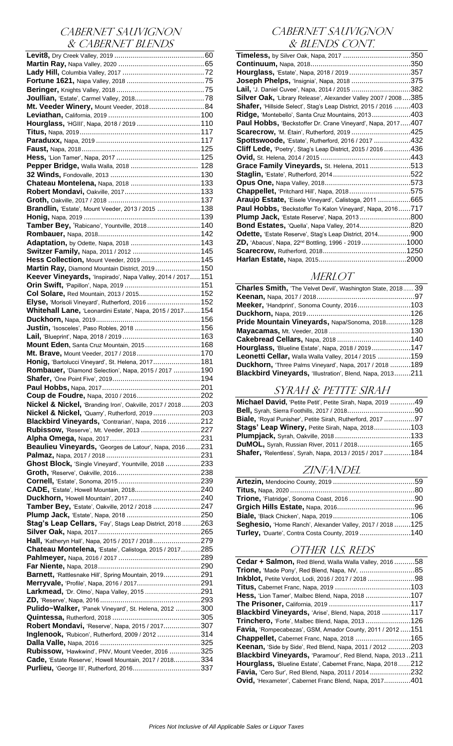# CABERNET SAUVIGNON & CABERNET BLENDS

| Mt. Veeder Winery, Mount Veeder, 2018 84                                                              |  |
|-------------------------------------------------------------------------------------------------------|--|
|                                                                                                       |  |
| Hourglass, 'HGIII', Napa, 2018 / 2019  110                                                            |  |
|                                                                                                       |  |
|                                                                                                       |  |
|                                                                                                       |  |
|                                                                                                       |  |
|                                                                                                       |  |
|                                                                                                       |  |
|                                                                                                       |  |
|                                                                                                       |  |
|                                                                                                       |  |
|                                                                                                       |  |
|                                                                                                       |  |
| Brandlin, 'Estate', Mount Veeder, 2013 / 2015  138                                                    |  |
|                                                                                                       |  |
| Tamber Bey, 'Rabicano', Yountville, 2018 140                                                          |  |
|                                                                                                       |  |
|                                                                                                       |  |
| Adaptation, by Odette, Napa, 2018  143                                                                |  |
| Switzer Family, Napa, 2011 / 2012  145                                                                |  |
| Hess Collection, Mount Veeder, 2019 145                                                               |  |
| Martin Ray, Diamond Mountain District, 2019 150                                                       |  |
|                                                                                                       |  |
| Keever Vineyards, 'Inspirado', Napa Valley, 2014 / 2017 151                                           |  |
|                                                                                                       |  |
| Col Solare, Red Mountain, 2013 / 2015 152                                                             |  |
| Elyse, 'Morisoli Vineyard', Rutherford, 2016  152                                                     |  |
| Whitehall Lane, 'Leonardini Estate', Napa, 2015 / 2017 154                                            |  |
|                                                                                                       |  |
|                                                                                                       |  |
| Justin, 'Isosceles', Paso Robles, 2018  156                                                           |  |
|                                                                                                       |  |
| Mount Eden, Santa Cruz Mountain, 2015 168                                                             |  |
| Mt. Brave, Mount Veeder, 2017 / 2018 170                                                              |  |
|                                                                                                       |  |
| Honig, 'Bartolucci Vineyard', St. Helena, 2017 181                                                    |  |
| Rombauer, 'Diamond Selection', Napa, 2015 / 2017  190                                                 |  |
|                                                                                                       |  |
|                                                                                                       |  |
|                                                                                                       |  |
|                                                                                                       |  |
|                                                                                                       |  |
| Nickel & Nickel, 'Branding Iron', Oakville, 2017 / 2018203                                            |  |
| Nickel & Nickel, 'Quarry', Rutherford, 2019203                                                        |  |
| Blackbird Vineyards, 'Contrarian', Napa, 2016 212                                                     |  |
|                                                                                                       |  |
| Rubissow, 'Reserve', Mt. Veeder, 2013 227                                                             |  |
|                                                                                                       |  |
| Beaulieu Vineyards, 'Georges de Latour', Napa, 2016231                                                |  |
|                                                                                                       |  |
| Ghost Block, 'Single Vineyard', Yountville, 2018 233                                                  |  |
|                                                                                                       |  |
|                                                                                                       |  |
|                                                                                                       |  |
| CADE, 'Estate', Howell Mountain, 2018240                                                              |  |
|                                                                                                       |  |
| Tamber Bey, 'Estate', Oakville, 2012 / 2018 247                                                       |  |
|                                                                                                       |  |
|                                                                                                       |  |
| Stag's Leap Cellars, 'Fay', Stags Leap District, 2018263                                              |  |
|                                                                                                       |  |
| Hall, 'Katheryn Hall', Napa, 2015 / 2017 / 2018279                                                    |  |
| Chateau Montelena, 'Estate', Calistoga, 2015 / 2017285                                                |  |
|                                                                                                       |  |
|                                                                                                       |  |
|                                                                                                       |  |
| Barnett, 'Rattlesnake Hill', Spring Mountain, 2019291                                                 |  |
|                                                                                                       |  |
|                                                                                                       |  |
|                                                                                                       |  |
| Pulido~Walker, 'Panek Vineyard', St. Helena, 2012 300                                                 |  |
|                                                                                                       |  |
|                                                                                                       |  |
| Robert Mondavi, 'Reserve', Napa, 2015 / 2017307                                                       |  |
| Inglenook, 'Rubicon', Rutherford, 2009 / 2012 314                                                     |  |
|                                                                                                       |  |
| Rubissow, 'Hawkwind', PNV, Mount Veeder, 2016 325                                                     |  |
|                                                                                                       |  |
| Cade, 'Estate Reserve', Howell Mountain, 2017 / 2018334<br>Purlieu, 'George III', Rutherford, 2016337 |  |

# CABERNET SAUVIGNON & BLENDS CONT.

| <b>Timeless,</b> by Silver Oak, Napa, 2017 350                            |  |
|---------------------------------------------------------------------------|--|
|                                                                           |  |
| <b>Hourglass,</b> 'Estate', Napa, 2018 / 2019 357                         |  |
| Joseph Phelps, 'Insignia', Napa, 2018 375                                 |  |
| Lail, 'J. Daniel Cuvee', Napa, 2014 / 2015 382                            |  |
| Silver Oak, 'Library Release', Alexander Valley 2007 / 2008385            |  |
| <b>Shafer,</b> 'Hillside Select', Stag's Leap District, 2015 / 2016 ……403 |  |
| <b>Ridge,</b> 'Montebello', Santa Cruz Mountains, 2013…………………403          |  |
| <b>Paul Hobbs,</b> 'Beckstoffer Dr. Crane Vineyard', Napa, 2017407        |  |
| Scarecrow, 'M. Étain', Rutherford, 2019 425                               |  |
| Spottswoode, 'Estate', Rutherford, 2016 / 2017 432                        |  |
| <b>Cliff Lede,</b> 'Poetry', Stag's Leap District, 2015 / 2016 436        |  |
|                                                                           |  |
| Grace Family Vineyards, St. Helena, 2011513                               |  |
|                                                                           |  |
|                                                                           |  |
| <b>Chappellet, 'Pritchard Hill', Napa, 2018575</b>                        |  |
| Araujo Estate, 'Eisele Vineyard', Calistoga, 2011 665                     |  |
| Paul Hobbs, 'Beckstoffer To Kalon Vineyard', Napa, 2016717                |  |
| <b>Plump Jack,</b> 'Estate Reserve', Napa, 2013800                        |  |
| <b>Bond Estates,</b> 'Quella', Napa Valley, 2014820                       |  |
| Odette, 'Estate Reserve', Stag's Leap District, 2014900                   |  |
| <b>ZD,</b> 'Abacus', Napa, 22 <sup>nd</sup> Bottling, 1996 - 2019 1000    |  |
|                                                                           |  |
|                                                                           |  |

# MERLOT

| <b>Charles Smith, 'The Velvet Devil', Washington State, 2018 39</b> |  |
|---------------------------------------------------------------------|--|
|                                                                     |  |
| <b>Meeker,</b> 'Handprint', Sonoma County, 2016103                  |  |
| <b>Duckhorn,</b> Napa, 2019……………………………………………126                     |  |
| Pride Mountain Vineyards, Napa/Sonoma, 2018128                      |  |
|                                                                     |  |
|                                                                     |  |
| Hourglass, 'Blueline Estate', Napa, 2018 / 2019147                  |  |
| <b>Leonetti Cellar, Walla Walla Valley, 2014 / 2015 159</b>         |  |
| <b>Duckhorn,</b> 'Three Palms Vineyard', Napa, 2017 / 2018 189      |  |
| Blackbird Vineyards, 'Illustration', Blend, Napa, 2013211           |  |
|                                                                     |  |

# SYRAH & PETITE SIRAH

| Michael David, 'Petite Petit', Petite Sirah, Napa, 2019 49       |  |
|------------------------------------------------------------------|--|
|                                                                  |  |
| Biale, 'Royal Punisher', Petite Sirah, Rutherford, 2017 97       |  |
| <b>Stags' Leap Winery, Petite Sirah, Napa, 2018103</b>           |  |
|                                                                  |  |
| DuMOL, Syrah, Russian River, 2011 / 2018165                      |  |
| <b>Shafer,</b> 'Relentless', Syrah, Napa, 2013 / 2015 / 2017 184 |  |
|                                                                  |  |

### ZINFANDEL

| Seghesio, 'Home Ranch', Alexander Valley, 2017 / 2018125 |  |
|----------------------------------------------------------|--|
| <b>Turley,</b> 'Duarte', Contra Costa County, 2019 140   |  |

# OTHER U.S. REDs

| $\textsf{Cedar} + \textsf{Salmon},$ Red Blend, Walla Walla Valley, 2016 58 |  |
|----------------------------------------------------------------------------|--|
| <b>Trione,</b> 'Made Pony', Red Blend, Napa, NV, ………………………85               |  |
| <b>Inkblot,</b> Petite Verdot, Lodi, 2016 / 2017 / 2018 98                 |  |
|                                                                            |  |
| <b>Hess,</b> 'Lion Tamer', Malbec Blend, Napa, 2018 107                    |  |
|                                                                            |  |
| <b>Blackbird Vineyards,</b> 'Arise', Blend, Napa, 2018 117                 |  |
| <b>Trinchero,</b> 'Forte', Malbec Blend, Napa, 2013 126                    |  |
| <b>Favia,</b> 'Rompecabezas', GSM, Amador County, 2011 / 2012  151         |  |
| <b>Chappellet,</b> Cabernet Franc, Napa, 2018 165                          |  |
| <b>Keenan,</b> 'Side by Side', Red Blend, Napa, 2011 / 2012 203            |  |
| Blackbird Vineyards, 'Paramour', Red Blend, Napa, 2013211                  |  |
| Hourglass, 'Blueline Estate', Cabernet Franc, Napa, 2018212                |  |
| <b>Favia,</b> 'Cero Sur', Red Blend, Napa, 2011 / 2014232                  |  |
| <b>Ovid,</b> 'Hexameter', Cabernet Franc Blend, Napa, 2017401              |  |
|                                                                            |  |